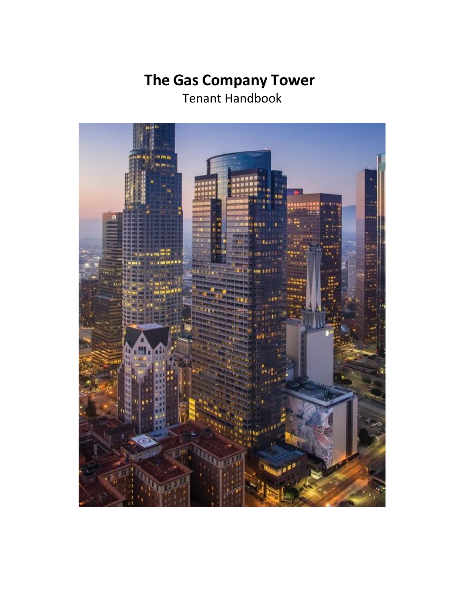# **The Gas Company Tower**

Tenant Handbook

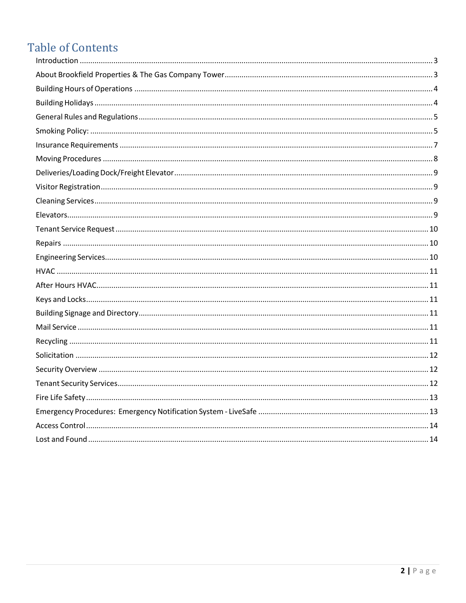## **Table of Contents**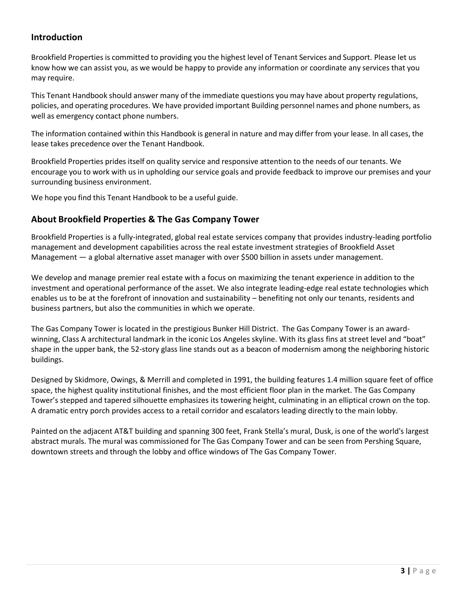## <span id="page-2-0"></span>**Introduction**

Brookfield Properties is committed to providing you the highest level of Tenant Services and Support. Please let us know how we can assist you, as we would be happy to provide any information or coordinate any services that you may require.

This Tenant Handbook should answer many of the immediate questions you may have about property regulations, policies, and operating procedures. We have provided important Building personnel names and phone numbers, as well as emergency contact phone numbers.

The information contained within this Handbook is general in nature and may differ from your lease. In all cases, the lease takes precedence over the Tenant Handbook.

Brookfield Properties prides itself on quality service and responsive attention to the needs of our tenants. We encourage you to work with us in upholding our service goals and provide feedback to improve our premises and your surrounding business environment.

We hope you find this Tenant Handbook to be a useful guide.

## <span id="page-2-1"></span>**About Brookfield Properties & The Gas Company Tower**

Brookfield Properties is a fully-integrated, global real estate services company that provides industry-leading portfolio management and development capabilities across the real estate investment strategies of Brookfield Asset Management — a global alternative asset manager with over \$500 billion in assets under management.

We develop and manage premier real estate with a focus on maximizing the tenant experience in addition to the investment and operational performance of the asset. We also integrate leading-edge real estate technologies which enables us to be at the forefront of innovation and sustainability – benefiting not only our tenants, residents and business partners, but also the communities in which we operate.

The Gas Company Tower is located in the prestigious Bunker Hill District. The Gas Company Tower is an awardwinning, Class A architectural landmark in the iconic Los Angeles skyline. With its glass fins at street level and "boat" shape in the upper bank, the 52-story glass line stands out as a beacon of modernism among the neighboring historic buildings.

Designed by Skidmore, Owings, & Merrill and completed in 1991, the building features 1.4 million square feet of office space, the highest quality institutional finishes, and the most efficient floor plan in the market. The Gas Company Tower's stepped and tapered silhouette emphasizes its towering height, culminating in an elliptical crown on the top. A dramatic entry porch provides access to a retail corridor and escalators leading directly to the main lobby.

Painted on the adjacent AT&T building and spanning 300 feet, Frank Stella's mural, Dusk, is one of the world's largest abstract murals. The mural was commissioned for The Gas Company Tower and can be seen from Pershing Square, downtown streets and through the lobby and office windows of The Gas Company Tower.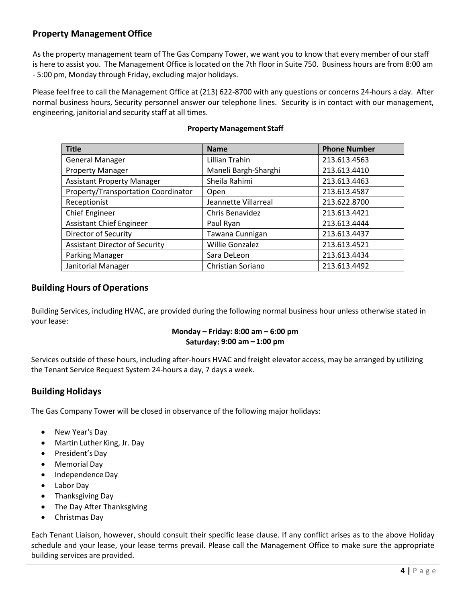## **Property Management Office**

As the property management team of The Gas Company Tower, we want you to know that every member of ourstaff is here to assist you. The Management Office is located on the 7th floor in Suite 750. Business hours are from 8:00 am - 5:00 pm, Monday through Friday, excluding major holidays.

Please feel free to call the Management Office at (213) 622-8700 with any questions or concerns 24-hours a day. After normal business hours, Security personnel answer our telephone lines. Security is in contact with our management, engineering, janitorial and security staff at all times.

| <b>Title</b>                          | <b>Name</b>            | <b>Phone Number</b> |
|---------------------------------------|------------------------|---------------------|
| <b>General Manager</b>                | Lillian Trahin         | 213.613.4563        |
| <b>Property Manager</b>               | Maneli Bargh-Sharghi   | 213.613.4410        |
| <b>Assistant Property Manager</b>     | Sheila Rahimi          | 213.613.4463        |
| Property/Transportation Coordinator   | Open                   | 213.613.4587        |
| Receptionist                          | Jeannette Villarreal   | 213.622.8700        |
| <b>Chief Engineer</b>                 | Chris Benavidez        | 213.613.4421        |
| <b>Assistant Chief Engineer</b>       | Paul Ryan              | 213.613.4444        |
| Director of Security                  | Tawana Cunnigan        | 213.613.4437        |
| <b>Assistant Director of Security</b> | <b>Willie Gonzalez</b> | 213.613.4521        |
| Parking Manager                       | Sara DeLeon            | 213.613.4434        |
| Janitorial Manager                    | Christian Soriano      | 213.613.4492        |

#### **Property Management Staff**

## <span id="page-3-0"></span>**Building Hours of Operations**

Building Services, including HVAC, are provided during the following normal business hour unless otherwise stated in your lease:

#### **Monday – Friday: 8:00 am – 6:00 pm Saturday: 9:00 am – 1:00 pm**

Services outside of these hours, including after-hours HVAC and freight elevator access, may be arranged by utilizing the Tenant Service Request System 24-hours a day, 7 days a week.

## <span id="page-3-1"></span>**BuildingHolidays**

The Gas Company Tower will be closed in observance of the following major holidays:

- New Year's Day
- Martin Luther King, Jr. Day
- President's Day
- Memorial Day
- Independence Day
- Labor Day
- Thanksgiving Day
- The Day After Thanksgiving
- Christmas Day

Each Tenant Liaison, however, should consult their specific lease clause. If any conflict arises as to the above Holiday schedule and your lease, your lease terms prevail. Please call the Management Office to make sure the appropriate building services are provided.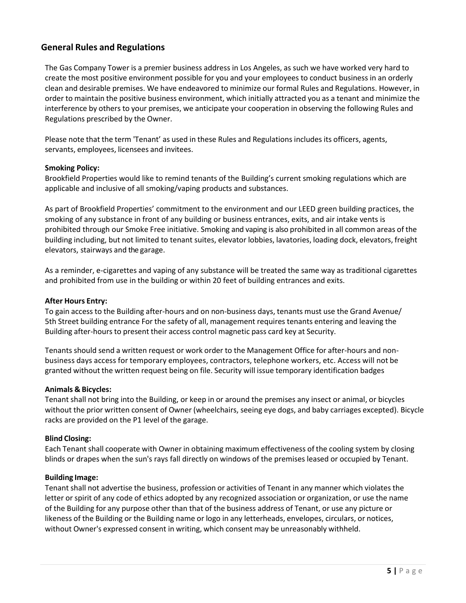## <span id="page-4-0"></span>**General Rules and Regulations**

The Gas Company Tower is a premier business address in Los Angeles, as such we have worked very hard to create the most positive environment possible for you and your employees to conduct business in an orderly clean and desirable premises. We have endeavored to minimize our formal Rules and Regulations. However, in order to maintain the positive business environment, which initially attracted you as a tenant and minimize the interference by others to your premises, we anticipate your cooperation in observing the following Rules and Regulations prescribed by the Owner.

Please note that the term 'Tenant' as used in these Rules and Regulations includes its officers, agents, servants, employees, licensees and invitees.

#### <span id="page-4-1"></span>**Smoking Policy:**

Brookfield Properties would like to remind tenants of the Building's current smoking regulations which are applicable and inclusive of all smoking/vaping products and substances.

As part of Brookfield Properties' commitment to the environment and our LEED green building practices, the smoking of any substance in front of any building or business entrances, exits, and air intake vents is prohibited through our Smoke Free initiative. Smoking and vaping is also prohibited in all common areas of the building including, but not limited to tenant suites, elevator lobbies, lavatories, loading dock, elevators, freight elevators, stairways and the garage.

As a reminder, e-cigarettes and vaping of any substance will be treated the same way as traditional cigarettes and prohibited from use in the building or within 20 feet of building entrances and exits.

#### **After Hours Entry:**

To gain access to the Building after-hours and on non-business days, tenants must use the Grand Avenue/ 5th Street building entrance For the safety of all, management requires tenants entering and leaving the Building after-hours to present their access control magnetic pass card key at Security.

Tenants should send a written request or work order to the Management Office for after-hours and nonbusiness days access for temporary employees, contractors, telephone workers, etc. Access will not be granted without the written request being on file. Security will issue temporary identification badges

#### **Animals & Bicycles:**

Tenant shall not bring into the Building, or keep in or around the premises any insect or animal, or bicycles without the prior written consent of Owner (wheelchairs, seeing eye dogs, and baby carriages excepted). Bicycle racks are provided on the P1 level of the garage.

#### **Blind Closing:**

Each Tenant shall cooperate with Owner in obtaining maximum effectiveness of the cooling system by closing blinds or drapes when the sun's rays fall directly on windows of the premises leased or occupied by Tenant.

#### **Building Image:**

Tenant shall not advertise the business, profession or activities of Tenant in any manner which violates the letter or spirit of any code of ethics adopted by any recognized association or organization, or use the name of the Building for any purpose other than that of the business address of Tenant, or use any picture or likeness of the Building or the Building name or logo in any letterheads, envelopes, circulars, or notices, without Owner's expressed consent in writing, which consent may be unreasonably withheld.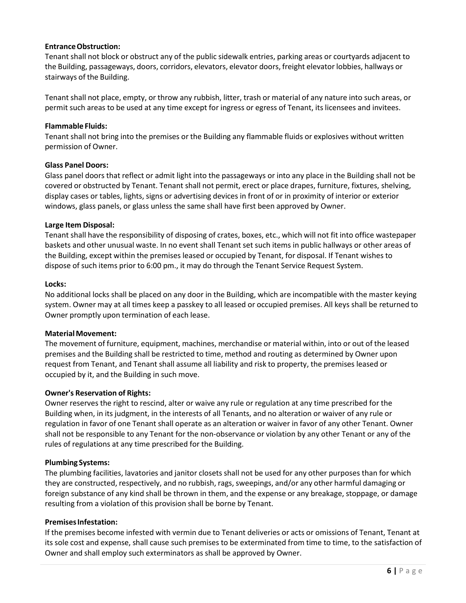#### **EntranceObstruction:**

Tenant shall not block or obstruct any of the public sidewalk entries, parking areas or courtyards adjacent to the Building, passageways, doors, corridors, elevators, elevator doors, freight elevator lobbies, hallways or stairways of the Building.

Tenant shall not place, empty, or throw any rubbish, litter, trash or material of any nature into such areas, or permit such areas to be used at any time except for ingress or egress of Tenant, its licensees and invitees.

#### **Flammable Fluids:**

Tenant shall not bring into the premises or the Building any flammable fluids or explosives without written permission of Owner.

#### **Glass Panel Doors:**

Glass panel doors that reflect or admit light into the passageways or into any place in the Building shall not be covered or obstructed by Tenant. Tenant shall not permit, erect or place drapes, furniture, fixtures, shelving, display cases or tables, lights, signs or advertising devices in front of or in proximity of interior or exterior windows, glass panels, or glass unless the same shall have first been approved by Owner.

#### **Large Item Disposal:**

Tenant shall have the responsibility of disposing of crates, boxes, etc., which will not fit into office wastepaper baskets and other unusual waste. In no event shall Tenant set such items in public hallways or other areas of the Building, except within the premises leased or occupied by Tenant, for disposal. If Tenant wishes to dispose of such items prior to 6:00 pm., it may do through the Tenant Service Request System.

#### **Locks:**

No additional locks shall be placed on any door in the Building, which are incompatible with the master keying system. Owner may at all times keep a passkey to all leased or occupied premises. All keys shall be returned to Owner promptly upon termination of each lease.

#### **MaterialMovement:**

The movement of furniture, equipment, machines, merchandise or material within, into or out of the leased premises and the Building shall be restricted to time, method and routing as determined by Owner upon request from Tenant, and Tenant shall assume all liability and risk to property, the premises leased or occupied by it, and the Building in such move.

#### **Owner's Reservation of Rights:**

Owner reserves the right to rescind, alter or waive any rule or regulation at any time prescribed for the Building when, in its judgment, in the interests of all Tenants, and no alteration or waiver of any rule or regulation in favor of one Tenant shall operate as an alteration or waiver in favor of any other Tenant. Owner shall not be responsible to any Tenant for the non-observance or violation by any other Tenant or any of the rules of regulations at any time prescribed for the Building.

#### **Plumbing Systems:**

The plumbing facilities, lavatories and janitor closets shall not be used for any other purposes than for which they are constructed, respectively, and no rubbish, rags, sweepings, and/or any other harmful damaging or foreign substance of any kind shall be thrown in them, and the expense or any breakage, stoppage, or damage resulting from a violation of this provision shall be borne by Tenant.

#### **PremisesInfestation:**

If the premises become infested with vermin due to Tenant deliveries or acts or omissions of Tenant, Tenant at its sole cost and expense, shall cause such premises to be exterminated from time to time, to the satisfaction of Owner and shall employ such exterminators as shall be approved by Owner.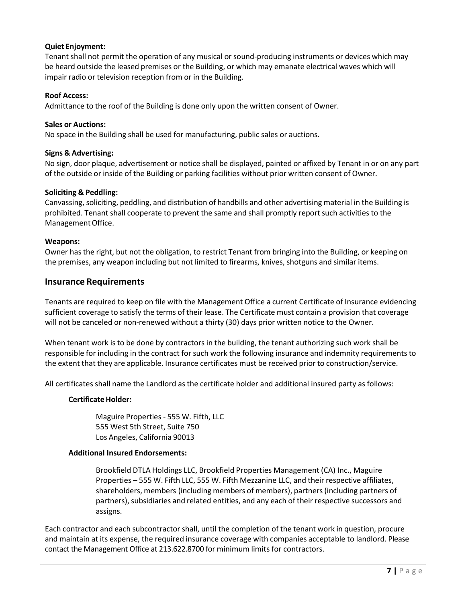#### **Quiet Enjoyment:**

Tenant shall not permit the operation of any musical or sound-producing instruments or devices which may be heard outside the leased premises or the Building, or which may emanate electrical waves which will impair radio or television reception from or in the Building.

#### **Roof Access:**

Admittance to the roof of the Building is done only upon the written consent of Owner.

#### **Sales or Auctions:**

No space in the Building shall be used for manufacturing, public sales or auctions.

#### **Signs & Advertising:**

No sign, door plaque, advertisement or notice shall be displayed, painted or affixed by Tenant in or on any part of the outside or inside of the Building or parking facilities without prior written consent of Owner.

#### **Soliciting & Peddling:**

Canvassing, soliciting, peddling, and distribution of handbills and other advertising material in the Building is prohibited. Tenant shall cooperate to prevent the same and shall promptly report such activities to the ManagementOffice.

#### **Weapons:**

Owner hasthe right, but not the obligation, to restrict Tenant from bringing into the Building, or keeping on the premises, any weapon including but not limited to firearms, knives, shotguns and similar items.

#### <span id="page-6-0"></span>**Insurance Requirements**

Tenants are required to keep on file with the Management Office a current Certificate of Insurance evidencing sufficient coverage to satisfy the terms of their lease. The Certificate must contain a provision that coverage will not be canceled or non-renewed without a thirty (30) days prior written notice to the Owner.

When tenant work is to be done by contractors in the building, the tenant authorizing such work shall be responsible for including in the contract for such work the following insurance and indemnity requirements to the extent that they are applicable. Insurance certificates must be received prior to construction/service.

All certificates shall name the Landlord as the certificate holder and additional insured party as follows:

#### **Certificate Holder:**

Maguire Properties - 555 W. Fifth, LLC 555 West 5th Street, Suite 750 Los Angeles, California 90013

#### **Additional Insured Endorsements:**

Brookfield DTLA Holdings LLC, Brookfield Properties Management (CA) Inc., Maguire Properties – 555 W. Fifth LLC, 555 W. Fifth Mezzanine LLC, and their respective affiliates, shareholders, members (including members of members), partners(including partners of partners), subsidiaries and related entities, and any each of their respective successors and assigns.

Each contractor and each subcontractor shall, until the completion of the tenant work in question, procure and maintain at its expense, the required insurance coverage with companies acceptable to landlord. Please contact the Management Office at 213.622.8700 for minimum limits for contractors.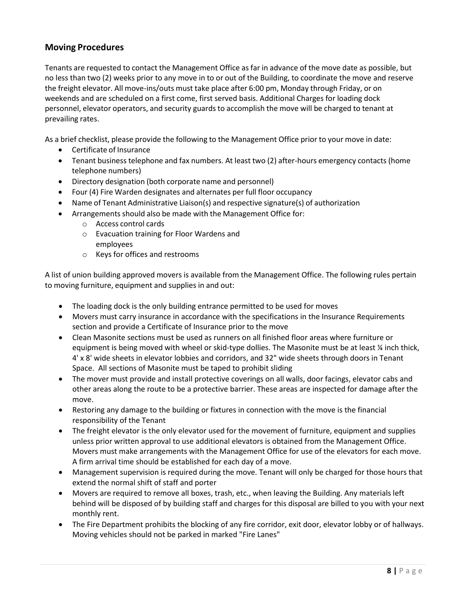## <span id="page-7-0"></span>**Moving Procedures**

Tenants are requested to contact the Management Office as far in advance of the move date as possible, but no less than two (2) weeks prior to any move in to or out of the Building, to coordinate the move and reserve the freight elevator. All move-ins/outs must take place after 6:00 pm, Monday through Friday, or on weekends and are scheduled on a first come, first served basis. Additional Charges for loading dock personnel, elevator operators, and security guards to accomplish the move will be charged to tenant at prevailing rates.

As a brief checklist, please provide the following to the Management Office prior to your move in date:

- Certificate of Insurance
- Tenant business telephone and fax numbers. At least two (2) after-hours emergency contacts (home telephone numbers)
- Directory designation (both corporate name and personnel)
- Four (4) Fire Warden designates and alternates per full floor occupancy
- Name of Tenant Administrative Liaison(s) and respective signature(s) of authorization
- Arrangements should also be made with the Management Office for:
	- o Access control cards
	- o Evacuation training for Floor Wardens and employees
	- o Keys for offices and restrooms

A list of union building approved movers is available from the Management Office. The following rules pertain to moving furniture, equipment and supplies in and out:

- The loading dock is the only building entrance permitted to be used for moves
- Movers must carry insurance in accordance with the specifications in the Insurance Requirements section and provide a Certificate of Insurance prior to the move
- Clean Masonite sections must be used as runners on all finished floor areas where furniture or equipment is being moved with wheel or skid-type dollies. The Masonite must be at least  $\frac{1}{4}$  inch thick, 4' x 8' wide sheets in elevator lobbies and corridors, and 32" wide sheets through doors in Tenant Space. All sections of Masonite must be taped to prohibit sliding
- The mover must provide and install protective coverings on all walls, door facings, elevator cabs and other areas along the route to be a protective barrier. These areas are inspected for damage after the move.
- Restoring any damage to the building or fixtures in connection with the move is the financial responsibility of the Tenant
- The freight elevator is the only elevator used for the movement of furniture, equipment and supplies unless prior written approval to use additional elevators is obtained from the Management Office. Movers must make arrangements with the Management Office for use of the elevators for each move. A firm arrival time should be established for each day of a move.
- Management supervision is required during the move. Tenant will only be charged for those hours that extend the normal shift of staff and porter
- Movers are required to remove all boxes, trash, etc., when leaving the Building. Any materials left behind will be disposed of by building staff and charges for this disposal are billed to you with your next monthly rent.
- The Fire Department prohibits the blocking of any fire corridor, exit door, elevator lobby or of hallways. Moving vehicles should not be parked in marked "Fire Lanes"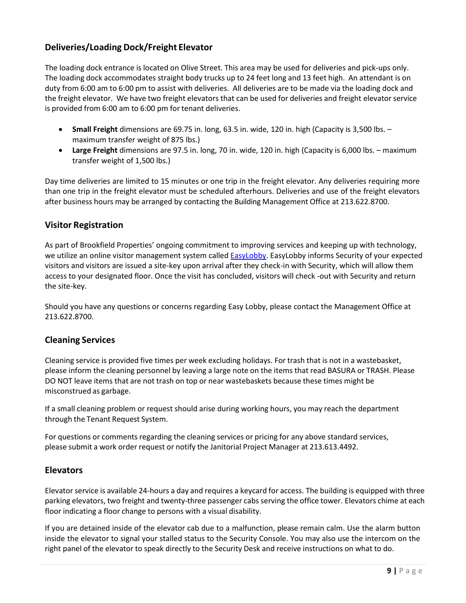## <span id="page-8-0"></span>**Deliveries/Loading Dock/Freight Elevator**

The loading dock entrance is located on Olive Street. This area may be used for deliveries and pick-ups only. The loading dock accommodates straight body trucks up to 24 feet long and 13 feet high. An attendant is on duty from 6:00 am to 6:00 pm to assist with deliveries. All deliveries are to be made via the loading dock and the freight elevator. We have two freight elevators that can be used for deliveries and freight elevator service is provided from 6:00 am to 6:00 pm for tenant deliveries.

- **Small Freight** dimensions are 69.75 in. long, 63.5 in. wide, 120 in. high (Capacity is 3,500 lbs. maximum transfer weight of 875 lbs.)
- **Large Freight** dimensions are 97.5 in. long, 70 in. wide, 120 in. high (Capacity is 6,000 lbs. maximum transfer weight of 1,500 lbs.)

Day time deliveries are limited to 15 minutes or one trip in the freight elevator. Any deliveries requiring more than one trip in the freight elevator must be scheduled afterhours. Deliveries and use of the freight elevators after business hours may be arranged by contacting the Building Management Office at 213.622.8700.

## <span id="page-8-1"></span>**Visitor Registration**

As part of Brookfield Properties' ongoing commitment to improving services and keeping up with technology, we utilize an online visitor management system called **EasyLobby**. EasyLobby informs Security of your expected visitors and visitors are issued a site-key upon arrival after they check-in with Security, which will allow them access to your designated floor. Once the visit has concluded, visitors will check -out with Security and return the site-key.

Should you have any questions or concerns regarding Easy Lobby, please contact the Management Office at 213.622.8700.

#### <span id="page-8-2"></span>**Cleaning Services**

Cleaning service is provided five times per week excluding holidays. For trash that is not in a wastebasket, please inform the cleaning personnel by leaving a large note on the items that read BASURA or TRASH. Please DO NOT leave items that are not trash on top or near wastebaskets because these times might be misconstrued as garbage.

If a small cleaning problem or request should arise during working hours, you may reach the department through the Tenant Request System.

For questions or comments regarding the cleaning services or pricing for any above standard services, please submit a work order request or notify the Janitorial Project Manager at 213.613.4492.

#### <span id="page-8-3"></span>**Elevators**

Elevator service is available 24-hours a day and requires a keycard for access. The building is equipped with three parking elevators, two freight and twenty-three passenger cabs serving the office tower. Elevators chime at each floor indicating a floor change to persons with a visual disability.

If you are detained inside of the elevator cab due to a malfunction, please remain calm. Use the alarm button inside the elevator to signal your stalled status to the Security Console. You may also use the intercom on the right panel of the elevator to speak directly to the Security Desk and receive instructions on what to do.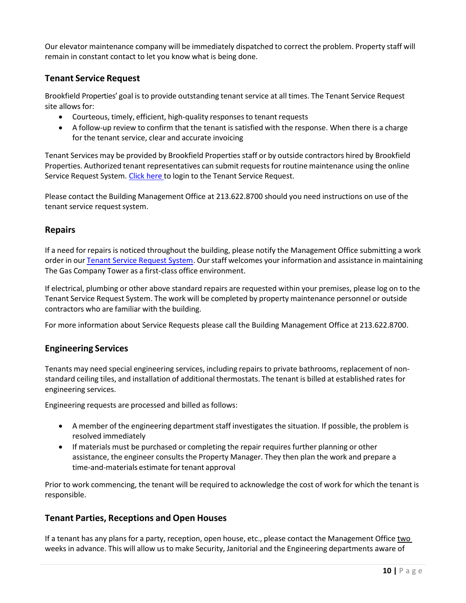Our elevator maintenance company will be immediately dispatched to correct the problem. Property staff will remain in constant contact to let you know what is being done.

## <span id="page-9-0"></span>**Tenant Service Request**

Brookfield Properties' goal is to provide outstanding tenant service at all times. The Tenant Service Request site allows for:

- Courteous, timely, efficient, high-quality responses to tenant requests
- A follow-up review to confirm that the tenant is satisfied with the response. When there is a charge for the tenant service, clear and accurate invoicing

Tenant Services may be provided by Brookfield Properties staff or by outside contractors hired by Brookfield Properties. Authorized tenant representatives can submit requestsforroutine maintenance using the online Service Request System. [Click here](https://www.ng1.angusanywhere.com/Tenant/Default.aspx?CompanyName=Trizec&WebsiteName=Brookfield) to login to the Tenant Service Request.

Please contact the Building Management Office at 213.622.8700 should you need instructions on use of the tenant service request system.

## <span id="page-9-1"></span>**Repairs**

If a need for repairs is noticed throughout the building, please notify the Management Office submitting a work order in our Tenant Service [Request](https://www.ng1.angusanywhere.com/Tenant/Default.aspx?CompanyName=Trizec&WebsiteName=Brookfield) System. Our staff welcomes your information and assistance in maintaining The Gas Company Tower as a first-class office environment.

If electrical, plumbing or other above standard repairs are requested within your premises, please log on to the Tenant Service Request System. The work will be completed by property maintenance personnel or outside contractors who are familiar with the building.

For more information about Service Requests please call the Building [Management Office](http://thegascompanytower.info/pdf/Recycling%202010%20New%20York.pdf?sid=operations&pid=pmoffice) at 213.622.8700.

## <span id="page-9-2"></span>**Engineering Services**

Tenants may need special engineering services, including repairs to private bathrooms, replacement of nonstandard ceiling tiles, and installation of additional thermostats. The tenant is billed at established rates for engineering services.

Engineering requests are processed and billed as follows:

- A member of the engineering department staff investigates the situation. If possible, the problem is resolved immediately
- If materials must be purchased or completing the repair requires further planning or other assistance, the engineer consults the Property Manager. They then plan the work and prepare a time-and-materials estimate for tenant approval

Prior to work commencing, the tenant will be required to acknowledge the cost of work for which the tenant is responsible.

## **Tenant Parties, Receptions and Open Houses**

If a tenant has any plans for a party, reception, open house, etc., please contact the Management Office two weeks in advance. This will allow us to make Security, Janitorial and the Engineering departments aware of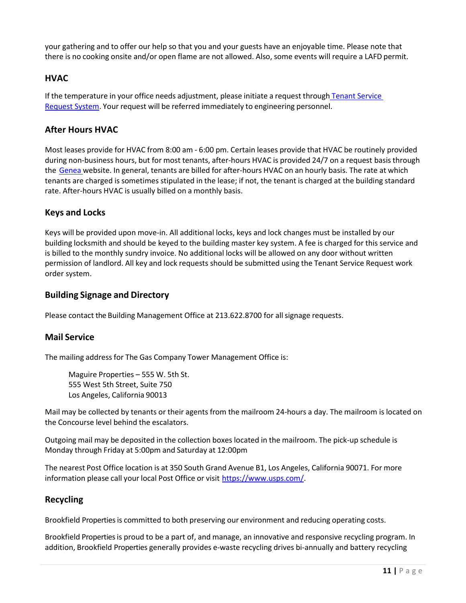your gathering and to offer our help so that you and your guests have an enjoyable time. Please note that there is no cooking onsite and/or open flame are not allowed. Also, some events will require a LAFD permit.

## <span id="page-10-0"></span>**HVAC**

If the temperature in your office needs adjustment, please initiate a request through Tenant [Service](https://www.ng1.angusanywhere.com/Tenant/Default.aspx?CompanyName=Trizec&WebsiteName=Brookfield) [Request](https://www.ng1.angusanywhere.com/Tenant/Default.aspx?CompanyName=Trizec&WebsiteName=Brookfield) System. Your request will be referred immediately to engineering personnel.

## <span id="page-10-1"></span>**After Hours HVAC**

Most leases provide for HVAC from 8:00 am - 6:00 pm. Certain leases provide that HVAC be routinely provided during non-business hours, but for most tenants, after-hours HVAC is provided 24/7 on a request basis through the [Genea](https://platform.geneaenergy.com/) website. In general, tenants are billed for after-hours HVAC on an hourly basis. The rate at which tenants are charged is sometimes stipulated in the lease; if not, the tenant is charged at the building standard rate. After-hours HVAC is usually billed on a monthly basis.

#### <span id="page-10-2"></span>**Keys and Locks**

Keys will be provided upon move-in. All additional locks, keys and lock changes must be installed by our building locksmith and should be keyed to the building master key system. A fee is charged for this service and is billed to the monthly sundry invoice. No additional locks will be allowed on any door without written permission of landlord. All key and lock requests should be submitted using the Tenant Service Request work order system.

#### <span id="page-10-3"></span>**Building Signage and Directory**

Please contact the Building Management Office at 213.622.8700 for all signage requests.

## <span id="page-10-4"></span>**Mail Service**

The mailing address for The Gas Company Tower Management Office is:

Maguire Properties – 555 W. 5th St. 555 West 5th Street, Suite 750 Los Angeles, California 90013

Mail may be collected by tenants or their agents from the mailroom 24-hours a day. The mailroom is located on the Concourse level behind the escalators.

Outgoing mail may be deposited in the collection boxes located in the mailroom. The pick-up schedule is Monday through Friday at 5:00pm and Saturday at 12:00pm

The nearest Post Office location is at 350 South Grand Avenue B1, Los Angeles, California 90071. For more information please call your local Post Office or visit [https://www.usps.com/.](https://www.usps.com/)

#### <span id="page-10-5"></span>**Recycling**

Brookfield Properties is committed to both preserving our environment and reducing operating costs.

Brookfield Properties is proud to be a part of, and manage, an innovative and responsive recycling program. In addition, Brookfield Properties generally provides e-waste recycling drives bi-annually and battery recycling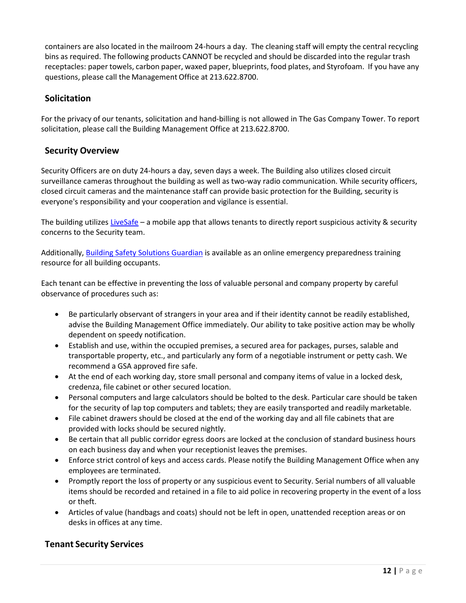containers are also located in the mailroom 24-hours a day. The cleaning staff will empty the central recycling bins as required. The following products CANNOT be recycled and should be discarded into the regular trash receptacles: paper towels, carbon paper, waxed paper, blueprints, food plates, and Styrofoam. If you have any questions, please call the Management Office at 213.622.8700.

## <span id="page-11-0"></span>**Solicitation**

For the privacy of our tenants, solicitation and hand-billing is not allowed in The Gas Company Tower. To report solicitation, please call the Building [Management Office](http://thegascompanytower.info/pdf/Your%20Building%202010%20New%20York.pdf?sid=operations&pid=pmoffice) at 213.622.8700.

## <span id="page-11-1"></span>**Security Overview**

Security Officers are on duty 24-hours a day, seven days a week. The Building also utilizes closed circuit surveillance cameras throughout the building as well as two-way radio communication. While security officers, closed circuit cameras and the maintenance staff can provide basic protection for the Building, security is everyone's responsibility and your cooperation and vigilance is essential.

The building utilizes [LiveSafe](https://www.livesafemobile.com/) – a mobile app that allows tenants to directly report suspicious activity & security concerns to the Security team.

Additionally, [Building Safety Solutions Guardian](https://guardian.bssnet.com/) is available as an online emergency preparedness training resource for all building occupants.

Each tenant can be effective in preventing the loss of valuable personal and company property by careful observance of procedures such as:

- Be particularly observant of strangers in your area and if their identity cannot be readily established, advise the Building Management Office immediately. Our ability to take positive action may be wholly dependent on speedy notification.
- Establish and use, within the occupied premises, a secured area for packages, purses, salable and transportable property, etc., and particularly any form of a negotiable instrument or petty cash. We recommend a GSA approved fire safe.
- At the end of each working day, store small personal and company items of value in a locked desk, credenza, file cabinet or other secured location.
- Personal computers and large calculators should be bolted to the desk. Particular care should be taken for the security of lap top computers and tablets; they are easily transported and readily marketable.
- File cabinet drawers should be closed at the end of the working day and all file cabinets that are provided with locks should be secured nightly.
- Be certain that all public corridor egress doors are locked at the conclusion of standard business hours on each business day and when your receptionist leaves the premises.
- Enforce strict control of keys and access cards. Please notify the Building Management Office when any employees are terminated.
- Promptly report the loss of property or any suspicious event to Security. Serial numbers of all valuable items should be recorded and retained in a file to aid police in recovering property in the event of a loss or theft.
- Articles of value (handbags and coats) should not be left in open, unattended reception areas or on desks in offices at any time.

## <span id="page-11-2"></span>**Tenant Security Services**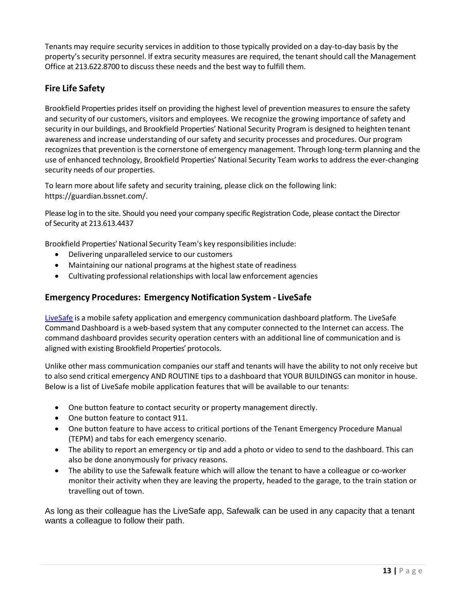Tenants may require security services in addition to those typically provided on a day-to-day basis by the property's security personnel. If extra security measures are required, the tenant should call the Management Office at 213.622.8700 to discuss these needs and the best way to fulfill them.

## <span id="page-12-0"></span>**Fire Life Safety**

Brookfield Properties prides itself on providing the highest level of prevention measures to ensure the safety and security of our customers, visitors and employees. We recognize the growing importance of safety and security in our buildings, and Brookfield Properties' National Security Program is designed to heighten tenant awareness and increase understanding of our safety and security processes and procedures. Our program recognizes that prevention is the cornerstone of emergency management. Through long-term planning and the use of enhanced technology, Brookfield Properties' National Security Team works to address the ever-changing security needs of our properties.

To learn more about life safety and security training, please click on the following link: [https://guardian.bssnet.com/.](https://guardian.bssnet.com/)

Please log in to the site. Should you need your company specific Registration Code, please contact the Director of Security at 213.613.4437

Brookfield Properties' National Security Team's key responsibilities include:

- Delivering unparalleled service to our customers
- Maintaining our national programs at the highest state of readiness
- Cultivating professional relationships with local law enforcement agencies

## <span id="page-12-1"></span>**Emergency Procedures: Emergency Notification System - LiveSafe**

[LiveSafe](https://services.livesafemobile.com/) is a mobile safety application and emergency communication dashboard platform. The LiveSafe Command Dashboard is a web-based system that any computer connected to the Internet can access. The command dashboard provides security operation centers with an additional line of communication and is aligned with existing Brookfield Properties' protocols.

Unlike other mass communication companies our staff and tenants will have the ability to not only receive but to also send critical emergency AND ROUTINE tips to a dashboard that YOUR BUILDINGS can monitor in house. Below is a list of LiveSafe mobile application features that will be available to our tenants:

- One button feature to contact security or property management directly.
- One button feature to contact 911.
- One button feature to have access to critical portions of the Tenant Emergency Procedure Manual (TEPM) and tabs for each emergency scenario.
- The ability to report an emergency or tip and add a photo or video to send to the dashboard. This can also be done anonymously for privacy reasons.
- The ability to use the Safewalk feature which will allow the tenant to have a colleague or co-worker monitor their activity when they are leaving the property, headed to the garage, to the train station or travelling out of town.

As long as their colleague has the LiveSafe app, Safewalk can be used in any capacity that a tenant wants a colleague to follow their path.